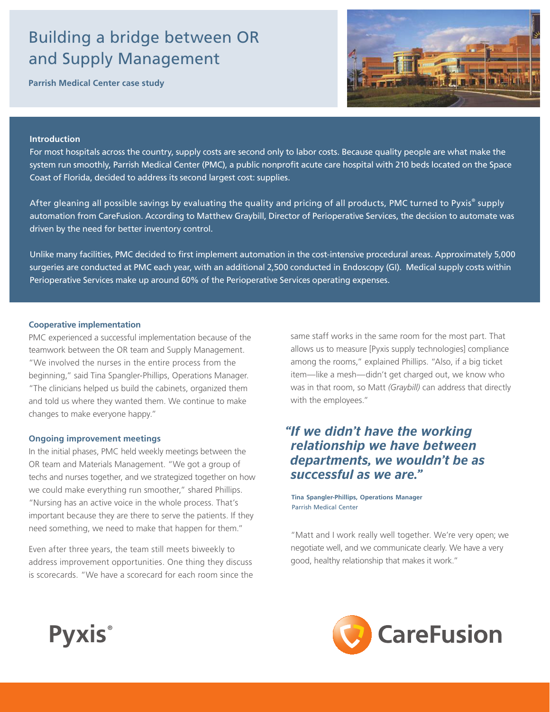# Building a bridge between OR and Supply Management

**Parrish Medical Center case study**



#### **Introduction**

For most hospitals across the country, supply costs are second only to labor costs. Because quality people are what make the system run smoothly, Parrish Medical Center (PMC), a public nonprofit acute care hospital with 210 beds located on the Space Coast of Florida, decided to address its second largest cost: supplies.

After gleaning all possible savings by evaluating the quality and pricing of all products, PMC turned to Pyxis® supply automation from CareFusion. According to Matthew Graybill, Director of Perioperative Services, the decision to automate was driven by the need for better inventory control.

Unlike many facilities, PMC decided to first implement automation in the cost-intensive procedural areas. Approximately 5,000 surgeries are conducted at PMC each year, with an additional 2,500 conducted in Endoscopy (GI). Medical supply costs within Perioperative Services make up around 60% of the Perioperative Services operating expenses.

#### **Cooperative implementation**

PMC experienced a successful implementation because of the teamwork between the OR team and Supply Management. "We involved the nurses in the entire process from the beginning," said Tina Spangler-Phillips, Operations Manager. "The clinicians helped us build the cabinets, organized them and told us where they wanted them. We continue to make changes to make everyone happy."

#### **Ongoing improvement meetings**

**Pyxis®**

In the initial phases, PMC held weekly meetings between the OR team and Materials Management. "We got a group of techs and nurses together, and we strategized together on how we could make everything run smoother," shared Phillips. "Nursing has an active voice in the whole process. That's important because they are there to serve the patients. If they need something, we need to make that happen for them."

Even after three years, the team still meets biweekly to address improvement opportunities. One thing they discuss is scorecards. "We have a scorecard for each room since the

same staff works in the same room for the most part. That allows us to measure [Pyxis supply technologies] compliance among the rooms," explained Phillips. "Also, if a big ticket item—like a mesh—didn't get charged out, we know who was in that room, so Matt *(Graybill)* can address that directly with the employees."

## *"If we didn't have the working relationship we have between departments, we wouldn't be as successful as we are."*

**Tina Spangler-Phillips, Operations Manager** Parrish Medical Center

"Matt and I work really well together. We're very open; we negotiate well, and we communicate clearly. We have a very good, healthy relationship that makes it work."